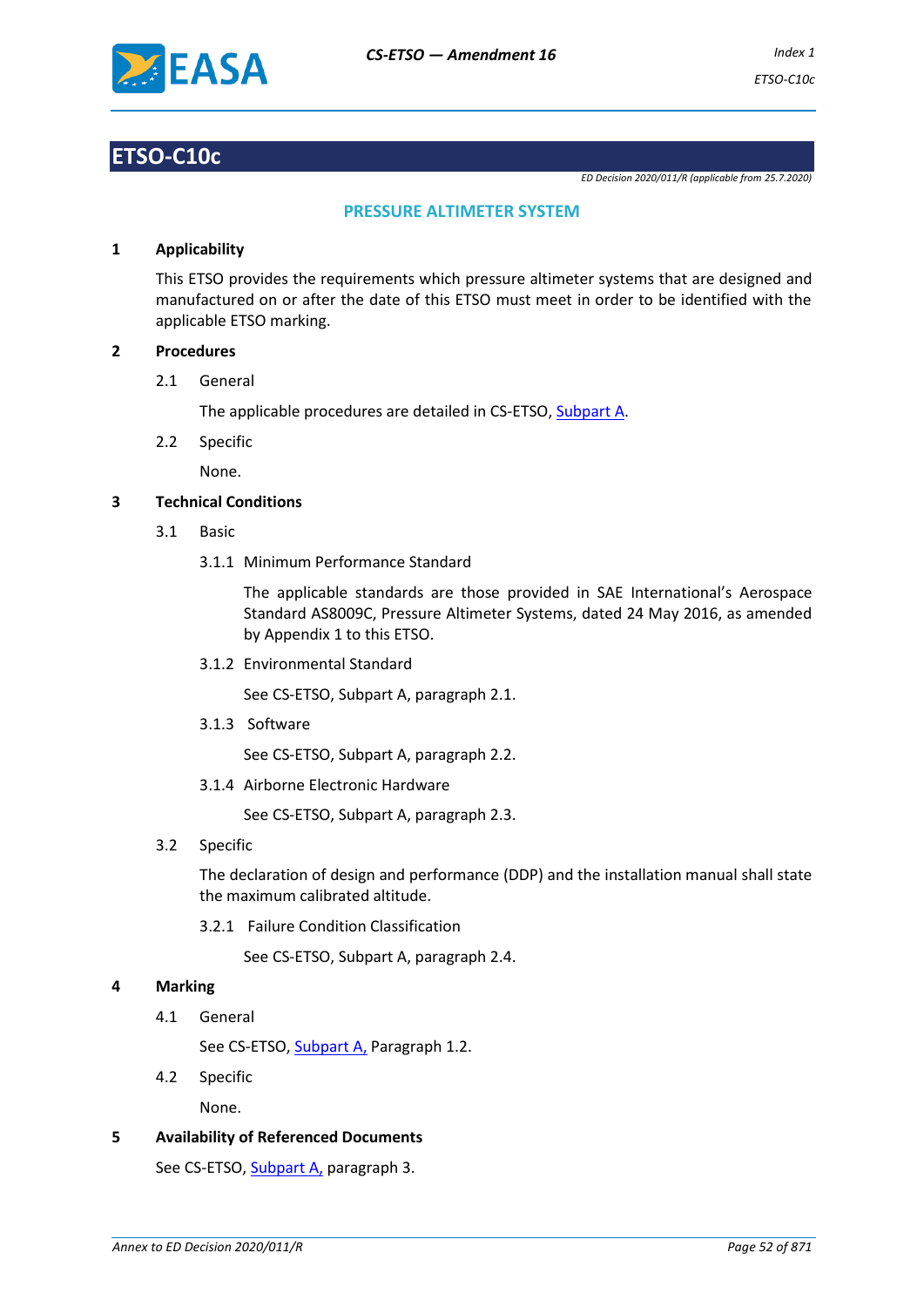

# **ETSO-C10c**

*ED Decision 2020/011/R (applicable from 25.7.2020)*

# **PRESSURE ALTIMETER SYSTEM**

## **1 Applicability**

This ETSO provides the requirements which pressure altimeter systems that are designed and manufactured on or after the date of this ETSO must meet in order to be identified with the applicable ETSO marking.

#### **2 Procedures**

2.1 General

The applicable procedures are detailed in CS-ETSO, Subpart A.

2.2 Specific

None.

## **3 Technical Conditions**

- 3.1 Basic
	- 3.1.1 Minimum Performance Standard

The applicable standards are those provided in SAE International's Aerospace Standard AS8009C, Pressure Altimeter Systems, dated 24 May 2016, as amended by Appendix 1 to this ETSO.

3.1.2 Environmental Standard

See CS-ETSO, Subpart A, paragraph 2.1.

3.1.3 Software

See CS-ETSO, Subpart A, paragraph 2.2.

3.1.4 Airborne Electronic Hardware

See CS-ETSO, Subpart A, paragraph 2.3.

3.2 Specific

The declaration of design and performance (DDP) and the installation manual shall state the maximum calibrated altitude.

3.2.1 Failure Condition Classification

See CS-ETSO, Subpart A, paragraph 2.4.

#### **4 Marking**

4.1 General

See CS-ETSO, Subpart A, Paragraph 1.2.

4.2 Specific

None.

**5 Availability of Referenced Documents**

See CS-ETSO, Subpart A, paragraph 3.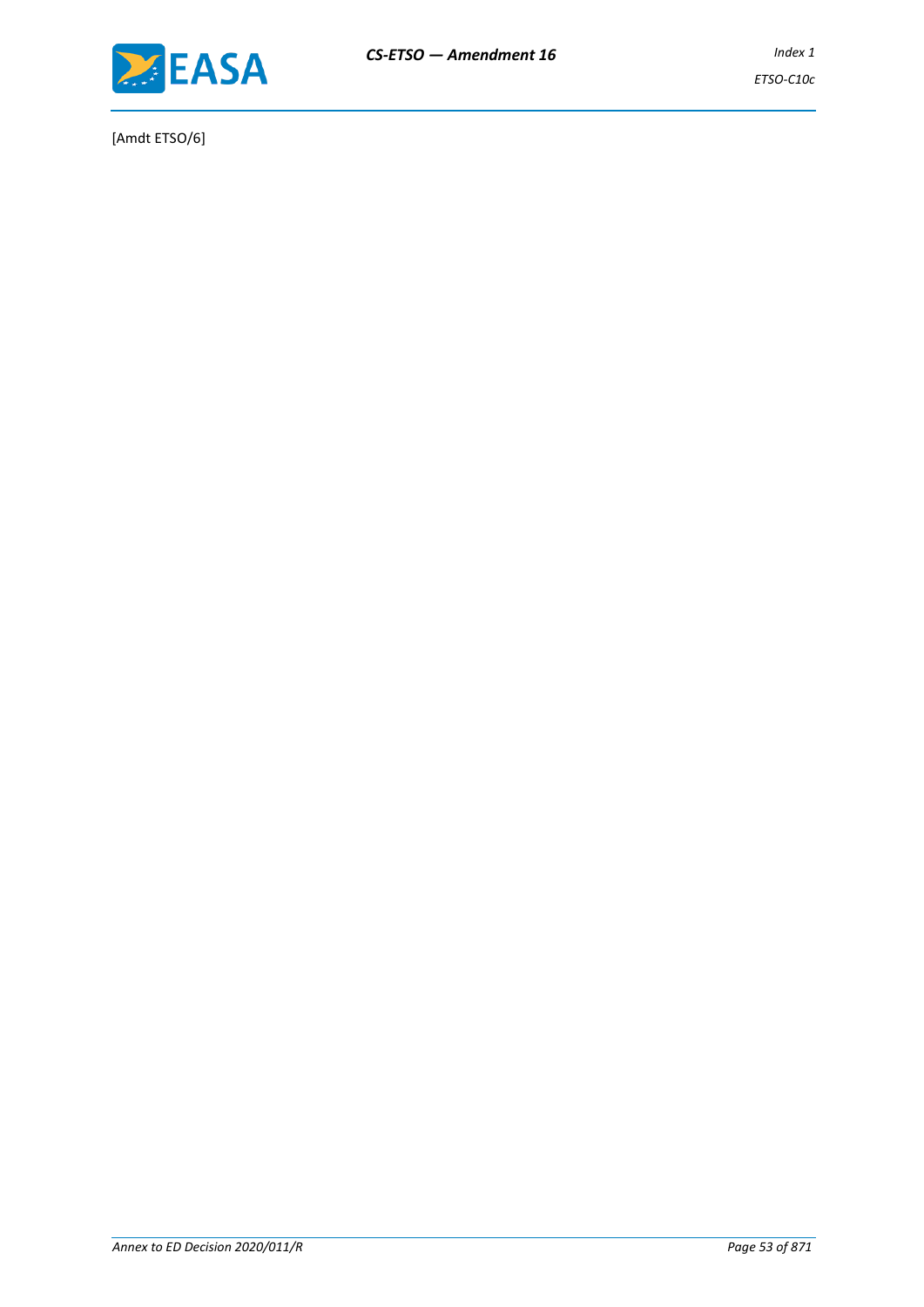

[Amdt ETSO/6]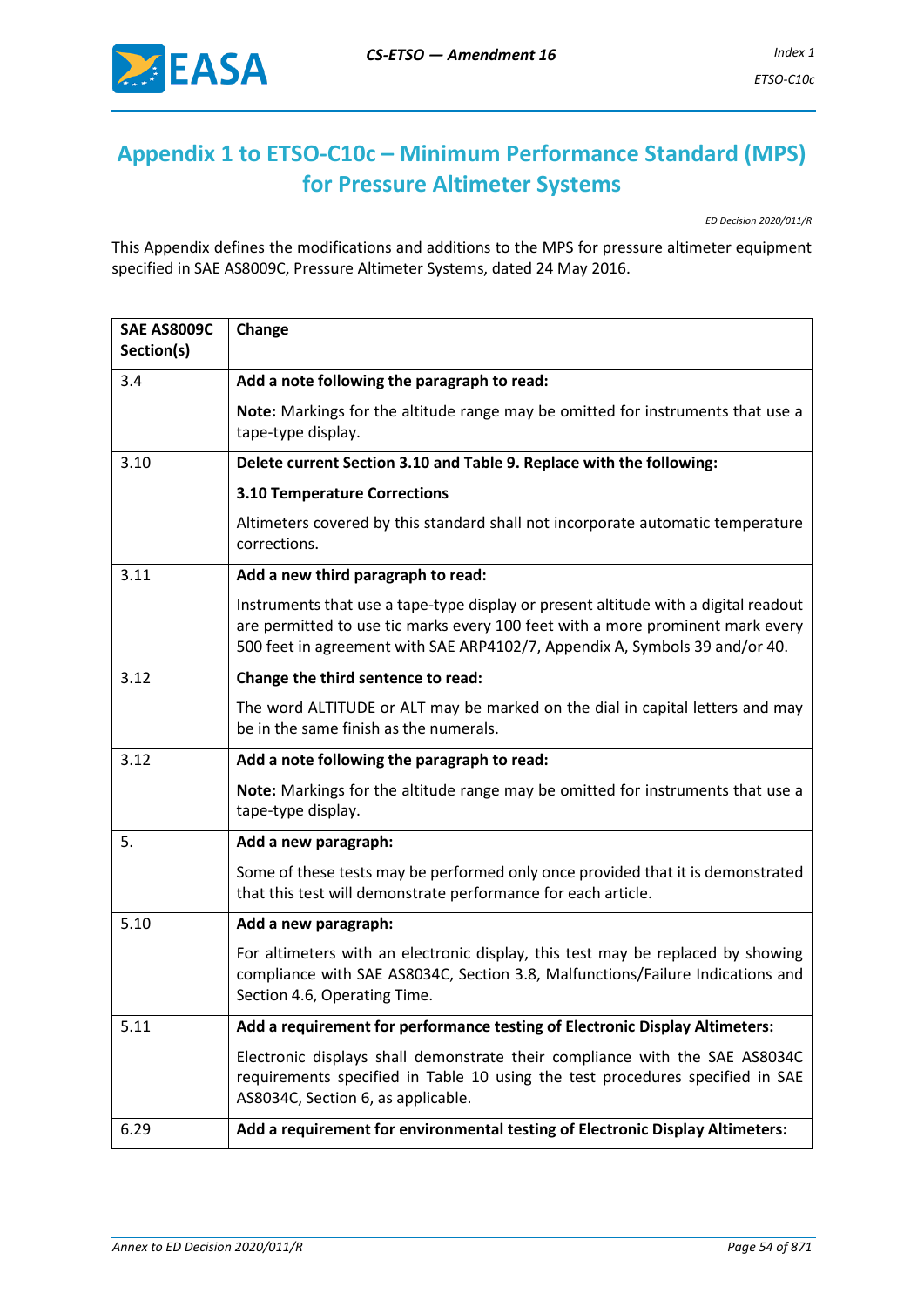

# **Appendix 1 to ETSO-C10c – Minimum Performance Standard (MPS) for Pressure Altimeter Systems**

*ED Decision 2020/011/R*

This Appendix defines the modifications and additions to the MPS for pressure altimeter equipment specified in SAE AS8009C, Pressure Altimeter Systems, dated 24 May 2016.

| <b>SAE AS8009C</b> | Change                                                                                                                                                                                                                                               |
|--------------------|------------------------------------------------------------------------------------------------------------------------------------------------------------------------------------------------------------------------------------------------------|
| Section(s)         |                                                                                                                                                                                                                                                      |
| 3.4                | Add a note following the paragraph to read:                                                                                                                                                                                                          |
|                    | Note: Markings for the altitude range may be omitted for instruments that use a<br>tape-type display.                                                                                                                                                |
| 3.10               | Delete current Section 3.10 and Table 9. Replace with the following:                                                                                                                                                                                 |
|                    | <b>3.10 Temperature Corrections</b>                                                                                                                                                                                                                  |
|                    | Altimeters covered by this standard shall not incorporate automatic temperature<br>corrections.                                                                                                                                                      |
| 3.11               | Add a new third paragraph to read:                                                                                                                                                                                                                   |
|                    | Instruments that use a tape-type display or present altitude with a digital readout<br>are permitted to use tic marks every 100 feet with a more prominent mark every<br>500 feet in agreement with SAE ARP4102/7, Appendix A, Symbols 39 and/or 40. |
| 3.12               | Change the third sentence to read:                                                                                                                                                                                                                   |
|                    | The word ALTITUDE or ALT may be marked on the dial in capital letters and may<br>be in the same finish as the numerals.                                                                                                                              |
| 3.12               | Add a note following the paragraph to read:                                                                                                                                                                                                          |
|                    | Note: Markings for the altitude range may be omitted for instruments that use a<br>tape-type display.                                                                                                                                                |
| 5.                 | Add a new paragraph:                                                                                                                                                                                                                                 |
|                    | Some of these tests may be performed only once provided that it is demonstrated<br>that this test will demonstrate performance for each article.                                                                                                     |
| 5.10               | Add a new paragraph:                                                                                                                                                                                                                                 |
|                    | For altimeters with an electronic display, this test may be replaced by showing<br>compliance with SAE AS8034C, Section 3.8, Malfunctions/Failure Indications and<br>Section 4.6, Operating Time.                                                    |
| 5.11               | Add a requirement for performance testing of Electronic Display Altimeters:                                                                                                                                                                          |
|                    | Electronic displays shall demonstrate their compliance with the SAE AS8034C<br>requirements specified in Table 10 using the test procedures specified in SAE<br>AS8034C, Section 6, as applicable.                                                   |
| 6.29               | Add a requirement for environmental testing of Electronic Display Altimeters:                                                                                                                                                                        |